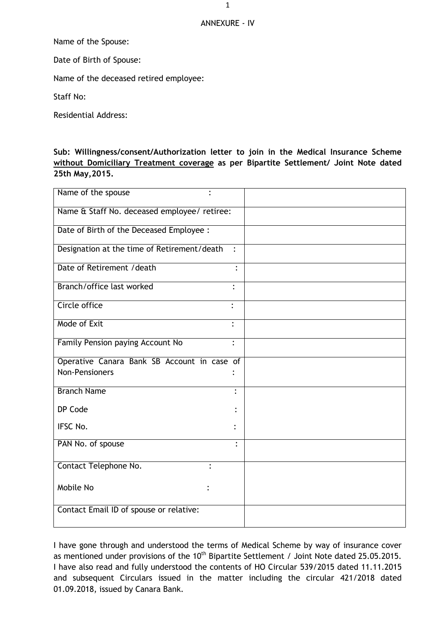## ANNEXURE - IV

Name of the Spouse:

Date of Birth of Spouse:

Name of the deceased retired employee:

Staff No:

Residential Address:

## **Sub: Willingness/consent/Authorization letter to join in the Medical Insurance Scheme without Domiciliary Treatment coverage as per Bipartite Settlement/ Joint Note dated 25th May,2015.**

| Name of the spouse                           |                |
|----------------------------------------------|----------------|
| Name & Staff No. deceased employee/ retiree: |                |
| Date of Birth of the Deceased Employee :     |                |
| Designation at the time of Retirement/death  | $\ddot{\cdot}$ |
| Date of Retirement / death                   | $\ddot{\cdot}$ |
| Branch/office last worked                    | $\ddot{\cdot}$ |
| Circle office                                | $\bullet$      |
| Mode of Exit                                 |                |
| Family Pension paying Account No             | $\ddot{\cdot}$ |
| Operative Canara Bank SB Account in case of  |                |
| <b>Non-Pensioners</b>                        |                |
| <b>Branch Name</b>                           | $\bullet$      |
| DP Code                                      |                |
| IFSC No.                                     |                |
| PAN No. of spouse                            | ٠              |
| Contact Telephone No.                        |                |
| Mobile No                                    |                |
| Contact Email ID of spouse or relative:      |                |

I have gone through and understood the terms of Medical Scheme by way of insurance cover as mentioned under provisions of the 10<sup>th</sup> Bipartite Settlement / Joint Note dated 25.05.2015. I have also read and fully understood the contents of HO Circular 539/2015 dated 11.11.2015 and subsequent Circulars issued in the matter including the circular 421/2018 dated 01.09.2018, issued by Canara Bank.